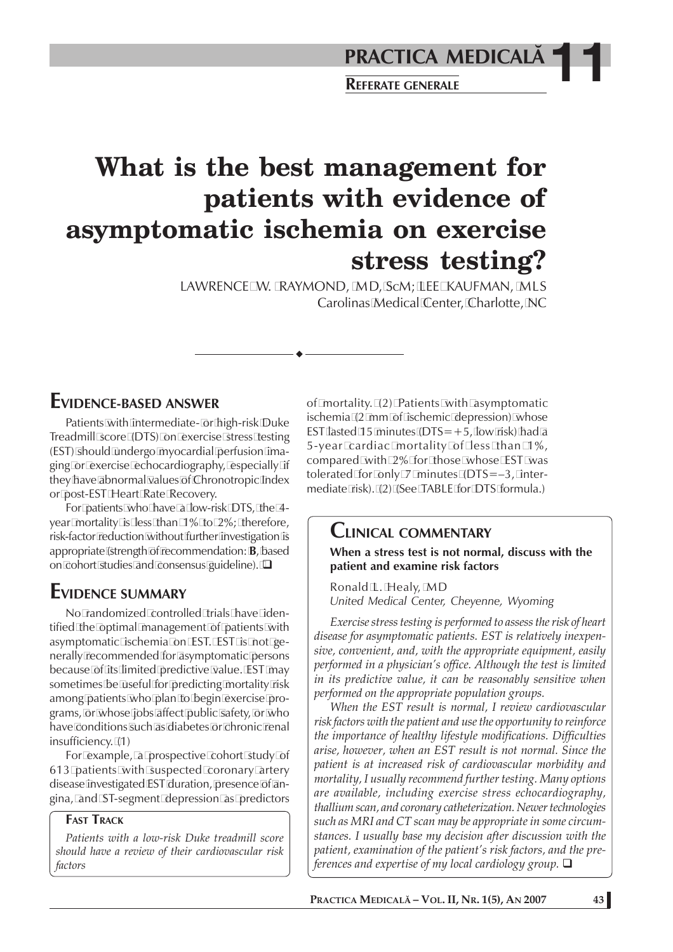# **What is the best management for patients with evidence of asymptomatic ischemia on exercise stress testing?**

LAWRENCE W. RAYMOND, MD, ScM; LEE KAUFMAN, MLS Carolinas Medical Center, Charlotte, NC

#### **EVIDENCE-BASED ANSWER**

Patients with intermediate- or high-risk Duke Treadmill score (DTS) on exercise stress testing (EST) should undergo myocardial perfusion imaging or exercise echocardiography, especially if they have abnormal values of Chronotropic Index or post-EST Heart Rate Recovery.

For patients who have a low-risk DTS, the 4 year mortality is less than 1% to 2%; therefore, risk-factor reduction without further investigation is appropriate (strength of recommendation: **B**, based on cohort studies and consensus guideline).  $\square$ 

### **EVIDENCE SUMMARY**

No randomized controlled trials have identified the optimal management of patients with asymptomatic ischemia on EST. EST is not generally recommended for asymptomatic persons because of its limited predictive value. EST may sometimes be useful for predicting mortality risk among patients who plan to begin exercise programs, or whose jobs affect public safety, or who have conditions such as diabetes or chronic renal insufficiency. (1)

For example, a prospective cohort study of 613 patients with suspected coronary artery disease investigated EST duration, presence of angina, and ST-segment depression as predictors

#### **FAST TRACK**

*Patients with a low-risk Duke treadmill score should have a review of their cardiovascular risk factors*

of mortality. (2) Patients with asymptomatic ischemia (2 mm of ischemic depression) whose EST lasted 15 minutes ( $DTS=+5$ , low risk) had a 5-year cardiac mortality of less than 1%, compared with 2% for those whose EST was tolerated for only 7 minutes (DTS=–3, intermediate risk). (2) (See TABLE for DTS formula.)

#### **CLINICAL COMMENTARY**

**When a stress test is not normal, discuss with the patient and examine risk factors**

Ronald L. Healy, MD *United Medical Center, Cheyenne, Wyoming*

*Exercise stress testing is performed to assess the risk of heart disease for asymptomatic patients. EST is relatively inexpensive, convenient, and, with the appropriate equipment, easily performed in a physician's office. Although the test is limited in its predictive value, it can be reasonably sensitive when performed on the appropriate population groups.*

*When the EST result is normal, I review cardiovascular risk factors with the patient and use the opportunity to reinforce the importance of healthy lifestyle modifications. Difficulties arise, however, when an EST result is not normal. Since the patient is at increased risk of cardiovascular morbidity and mortality, I usually recommend further testing. Many options are available, including exercise stress echocardiography, thallium scan, and coronary catheterization. Newer technologies such as MRI and CT scan may be appropriate in some circumstances. I usually base my decision after discussion with the patient, examination of the patient's risk factors, and the preferences and expertise of my local cardiology group.*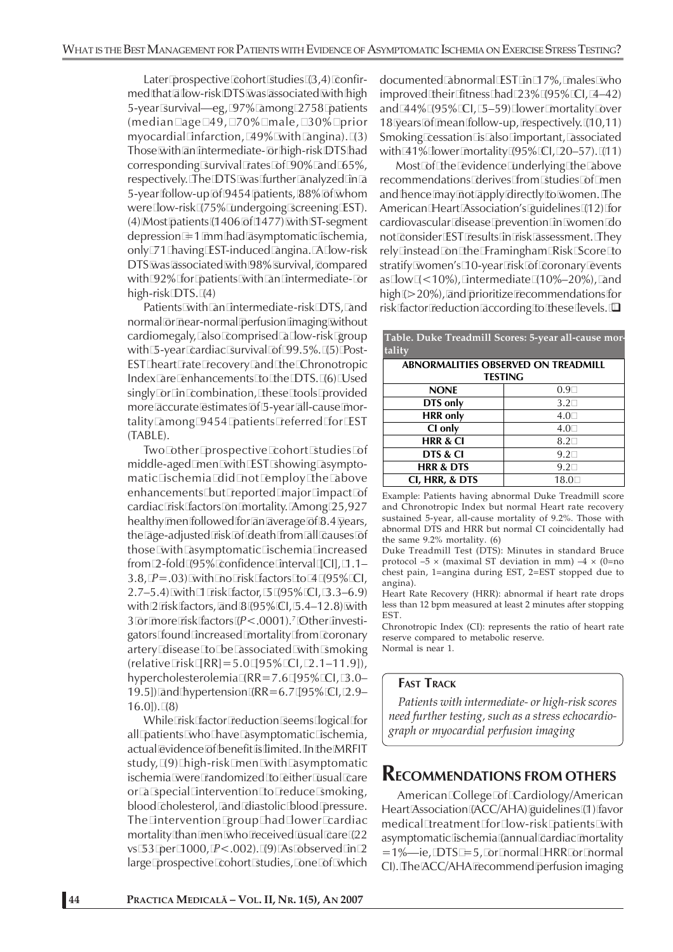Later prospective cohort studies (3,4) confirmed that a low-risk DTS was associated with high 5-year survival—eg, 97% among 2758 patients (median age 49, 70% male, 30% prior myocardial infarction, 49% with angina). (3) Those with an intermediate- or high-risk DTS had corresponding survival rates of 90% and 65%, respectively. The DTS was further analyzed in a 5-year follow-up of 9454 patients, 88% of whom were low-risk (75% undergoing screening EST). (4) Most patients (1406 of 1477) with ST-segment depression =1 mm had asymptomatic ischemia, only 71 having EST-induced angina. A low-risk DTS was associated with 98% survival, compared with 92% for patients with an intermediate- or high-risk DTS. (4)

Patients with an intermediate-risk DTS, and normal or near-normal perfusion imaging without cardiomegaly, also comprised a low-risk group with 5-year cardiac survival of 99.5%. (5) Post-EST heart rate recovery and the Chronotropic Index are enhancements to the DTS. (6) Used singly or in combination, these tools provided more accurate estimates of 5-year all-cause mortality among 9454 patients referred for EST (TABLE).

Two other prospective cohort studies of middle-aged men with EST showing asymptomatic ischemia did not employ the above enhancements but reported major impact of cardiac risk factors on mortality. Among 25,927 healthy men followed for an average of 8.4 years, the age-adjusted risk of death from all causes of those with asymptomatic ischemia increased from 2-fold (95% confidence interval [CI], 1.1– 3.8, *P*=.03) with no risk factors to 4 (95% CI, 2.7–5.4) with 1 risk factor, 5 (95% CI, 3.3–6.9) with 2 risk factors, and 8 (95% CI, 5.4–12.8) with 3 or more risk factors (*P*<.0001).7 Other investigators found increased mortality from coronary artery disease to be associated with smoking (relative risk [RR]=5.0 [95% CI, 2.1–11.9]), hypercholesterolemia (RR=7.6 [95% CI, 3.0– 19.5]) and hypertension (RR=6.7 [95% CI, 2.9– 16.0]). (8)

While risk factor reduction seems logical for all patients who have asymptomatic ischemia, actual evidence of benefit is limited. In the MRFIT study, (9) high-risk men with asymptomatic ischemia were randomized to either usual care or a special intervention to reduce smoking, blood cholesterol, and diastolic blood pressure. The intervention group had lower cardiac mortality than men who received usual care (22 vs 53 per 1000, *P*<.002). (9) As observed in 2 large prospective cohort studies, one of which documented abnormal EST in 17%, males who improved their fitness had 23% (95% CI, 4–42) and 44% (95% CI, 5–59) lower mortality over 18 years of mean follow-up, respectively. (10,11) Smoking cessation is also important, associated with 41% lower mortality (95% CI, 20–57). (11)

Most of the evidence underlying the above recommendations derives from studies of men and hence may not apply directly to women. The American Heart Association's guidelines (12) for cardiovascular disease prevention in women do not consider EST results in risk assessment. They rely instead on the Framingham Risk Score to stratify women's 10-year risk of coronary events as low  $(<10\%)$ , intermediate  $(10\%-20\%)$ , and high ( $>$ 20%), and prioritize recommendations for risk factor reduction according to these levels.  $\Box$ 

| Table. Duke Treadmin Scores. 9-year all-cause mor-<br>tality |      |
|--------------------------------------------------------------|------|
| <b>ABNORMALITIES OBSERVED ON TREADMILL</b>                   |      |
| <b>TESTING</b>                                               |      |
| <b>NONE</b>                                                  | 0.9  |
| DTS only                                                     | 3.2  |
| <b>HRR</b> only                                              | 4.0  |
| CI only                                                      | 4.0  |
| <b>HRR &amp; CI</b>                                          | 8.2  |
| DTS & CI                                                     | 9.2  |
| <b>HRR &amp; DTS</b>                                         | 9.2  |
| CI, HRR, & DTS                                               | 18.0 |

**Table. Duke Treadmill Scores: 5-year all-cause mor-**

Example: Patients having abnormal Duke Treadmill score and Chronotropic Index but normal Heart rate recovery sustained 5-year, all-cause mortality of 9.2%. Those with abnormal DTS and HRR but normal CI coincidentally had the same 9.2% mortality. (6)

Duke Treadmill Test (DTS): Minutes in standard Bruce protocol –5  $\times$  (maximal ST deviation in mm) –4  $\times$  (0=no chest pain, 1=angina during EST, 2=EST stopped due to angina).

Heart Rate Recovery (HRR): abnormal if heart rate drops less than 12 bpm measured at least 2 minutes after stopping **EST.** 

Chronotropic Index (CI): represents the ratio of heart rate reserve compared to metabolic reserve. Normal is near 1.

#### **FAST TRACK**

*Patients with intermediate- or high-risk scores need further testing, such as a stress echocardiograph or myocardial perfusion imaging*

#### **RECOMMENDATIONS FROM OTHERS**

American College of Cardiology/American Heart Association (ACC/AHA) guidelines (1) favor medical treatment for low-risk patients with asymptomatic ischemia (annual cardiac mortality  $=1\%$ —ie, DTS = 5, or normal HRR or normal CI). The ACC/AHA recommend perfusion imaging